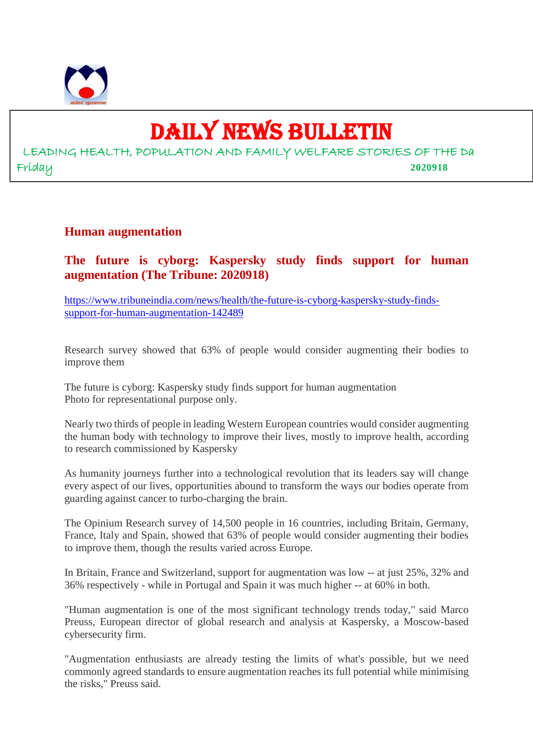

# DAILY NEWS BULLETIN

LEADING HEALTH, POPULATION AND FAMILY WELFARE STORIES OF THE Da Friday **2020918**

#### **Human augmentation**

**The future is cyborg: Kaspersky study finds support for human augmentation (The Tribune: 2020918)**

https://www.tribuneindia.com/news/health/the-future-is-cyborg-kaspersky-study-findssupport-for-human-augmentation-142489

Research survey showed that 63% of people would consider augmenting their bodies to improve them

The future is cyborg: Kaspersky study finds support for human augmentation Photo for representational purpose only.

Nearly two thirds of people in leading Western European countries would consider augmenting the human body with technology to improve their lives, mostly to improve health, according to research commissioned by Kaspersky

As humanity journeys further into a technological revolution that its leaders say will change every aspect of our lives, opportunities abound to transform the ways our bodies operate from guarding against cancer to turbo-charging the brain.

The Opinium Research survey of 14,500 people in 16 countries, including Britain, Germany, France, Italy and Spain, showed that 63% of people would consider augmenting their bodies to improve them, though the results varied across Europe.

In Britain, France and Switzerland, support for augmentation was low -- at just 25%, 32% and 36% respectively - while in Portugal and Spain it was much higher -- at 60% in both.

"Human augmentation is one of the most significant technology trends today," said Marco Preuss, European director of global research and analysis at Kaspersky, a Moscow-based cybersecurity firm.

"Augmentation enthusiasts are already testing the limits of what's possible, but we need commonly agreed standards to ensure augmentation reaches its full potential while minimising the risks," Preuss said.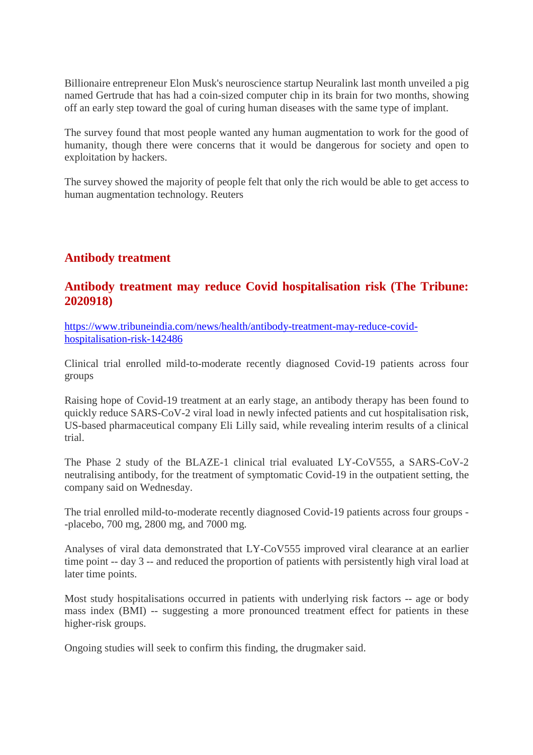Billionaire entrepreneur Elon Musk's neuroscience startup Neuralink last month unveiled a pig named Gertrude that has had a coin-sized computer chip in its brain for two months, showing off an early step toward the goal of curing human diseases with the same type of implant.

The survey found that most people wanted any human augmentation to work for the good of humanity, though there were concerns that it would be dangerous for society and open to exploitation by hackers.

The survey showed the majority of people felt that only the rich would be able to get access to human augmentation technology. Reuters

# **Antibody treatment**

#### **Antibody treatment may reduce Covid hospitalisation risk (The Tribune: 2020918)**

https://www.tribuneindia.com/news/health/antibody-treatment-may-reduce-covidhospitalisation-risk-142486

Clinical trial enrolled mild-to-moderate recently diagnosed Covid-19 patients across four groups

Raising hope of Covid-19 treatment at an early stage, an antibody therapy has been found to quickly reduce SARS-CoV-2 viral load in newly infected patients and cut hospitalisation risk, US-based pharmaceutical company Eli Lilly said, while revealing interim results of a clinical trial.

The Phase 2 study of the BLAZE-1 clinical trial evaluated LY-CoV555, a SARS-CoV-2 neutralising antibody, for the treatment of symptomatic Covid-19 in the outpatient setting, the company said on Wednesday.

The trial enrolled mild-to-moderate recently diagnosed Covid-19 patients across four groups - -placebo, 700 mg, 2800 mg, and 7000 mg.

Analyses of viral data demonstrated that LY-CoV555 improved viral clearance at an earlier time point -- day 3 -- and reduced the proportion of patients with persistently high viral load at later time points.

Most study hospitalisations occurred in patients with underlying risk factors -- age or body mass index (BMI) -- suggesting a more pronounced treatment effect for patients in these higher-risk groups.

Ongoing studies will seek to confirm this finding, the drugmaker said.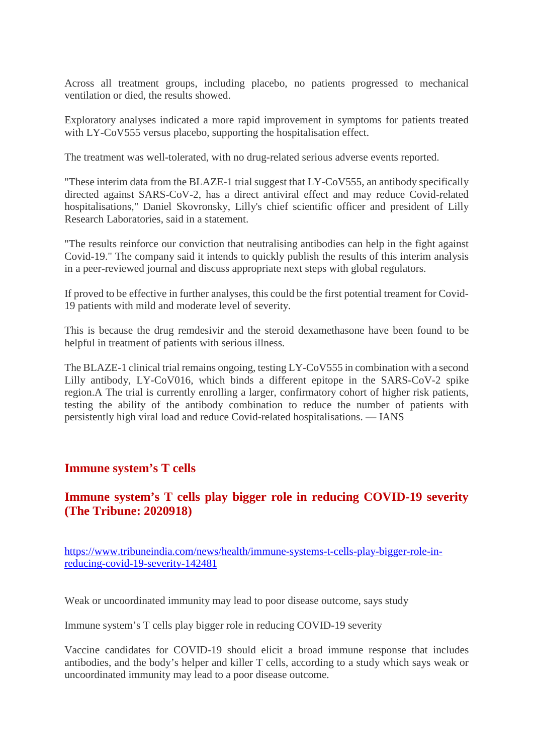Across all treatment groups, including placebo, no patients progressed to mechanical ventilation or died, the results showed.

Exploratory analyses indicated a more rapid improvement in symptoms for patients treated with LY-CoV555 versus placebo, supporting the hospitalisation effect.

The treatment was well-tolerated, with no drug-related serious adverse events reported.

"These interim data from the BLAZE-1 trial suggest that LY-CoV555, an antibody specifically directed against SARS-CoV-2, has a direct antiviral effect and may reduce Covid-related hospitalisations," Daniel Skovronsky, Lilly's chief scientific officer and president of Lilly Research Laboratories, said in a statement.

"The results reinforce our conviction that neutralising antibodies can help in the fight against Covid-19." The company said it intends to quickly publish the results of this interim analysis in a peer-reviewed journal and discuss appropriate next steps with global regulators.

If proved to be effective in further analyses, this could be the first potential treament for Covid-19 patients with mild and moderate level of severity.

This is because the drug remdesivir and the steroid dexamethasone have been found to be helpful in treatment of patients with serious illness.

The BLAZE-1 clinical trial remains ongoing, testing LY-CoV555 in combination with a second Lilly antibody, LY-CoV016, which binds a different epitope in the SARS-CoV-2 spike region.A The trial is currently enrolling a larger, confirmatory cohort of higher risk patients, testing the ability of the antibody combination to reduce the number of patients with persistently high viral load and reduce Covid-related hospitalisations. — IANS

#### **Immune system's T cells**

#### **Immune system's T cells play bigger role in reducing COVID-19 severity (The Tribune: 2020918)**

https://www.tribuneindia.com/news/health/immune-systems-t-cells-play-bigger-role-inreducing-covid-19-severity-142481

Weak or uncoordinated immunity may lead to poor disease outcome, says study

Immune system's T cells play bigger role in reducing COVID-19 severity

Vaccine candidates for COVID-19 should elicit a broad immune response that includes antibodies, and the body's helper and killer T cells, according to a study which says weak or uncoordinated immunity may lead to a poor disease outcome.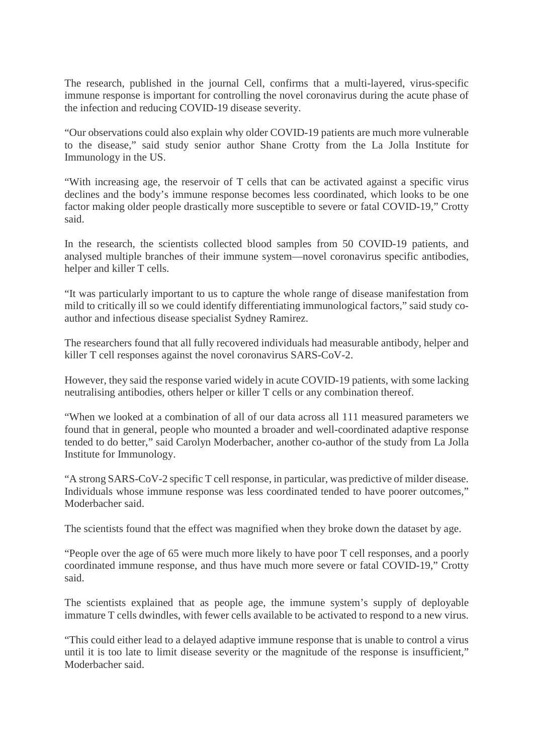The research, published in the journal Cell, confirms that a multi-layered, virus-specific immune response is important for controlling the novel coronavirus during the acute phase of the infection and reducing COVID-19 disease severity.

"Our observations could also explain why older COVID-19 patients are much more vulnerable to the disease," said study senior author Shane Crotty from the La Jolla Institute for Immunology in the US.

"With increasing age, the reservoir of T cells that can be activated against a specific virus declines and the body's immune response becomes less coordinated, which looks to be one factor making older people drastically more susceptible to severe or fatal COVID-19," Crotty said.

In the research, the scientists collected blood samples from 50 COVID-19 patients, and analysed multiple branches of their immune system—novel coronavirus specific antibodies, helper and killer T cells.

"It was particularly important to us to capture the whole range of disease manifestation from mild to critically ill so we could identify differentiating immunological factors," said study coauthor and infectious disease specialist Sydney Ramirez.

The researchers found that all fully recovered individuals had measurable antibody, helper and killer T cell responses against the novel coronavirus SARS-CoV-2.

However, they said the response varied widely in acute COVID-19 patients, with some lacking neutralising antibodies, others helper or killer T cells or any combination thereof.

"When we looked at a combination of all of our data across all 111 measured parameters we found that in general, people who mounted a broader and well-coordinated adaptive response tended to do better," said Carolyn Moderbacher, another co-author of the study from La Jolla Institute for Immunology.

"A strong SARS-CoV-2 specific T cell response, in particular, was predictive of milder disease. Individuals whose immune response was less coordinated tended to have poorer outcomes," Moderbacher said.

The scientists found that the effect was magnified when they broke down the dataset by age.

"People over the age of 65 were much more likely to have poor T cell responses, and a poorly coordinated immune response, and thus have much more severe or fatal COVID-19," Crotty said.

The scientists explained that as people age, the immune system's supply of deployable immature T cells dwindles, with fewer cells available to be activated to respond to a new virus.

"This could either lead to a delayed adaptive immune response that is unable to control a virus until it is too late to limit disease severity or the magnitude of the response is insufficient," Moderbacher said.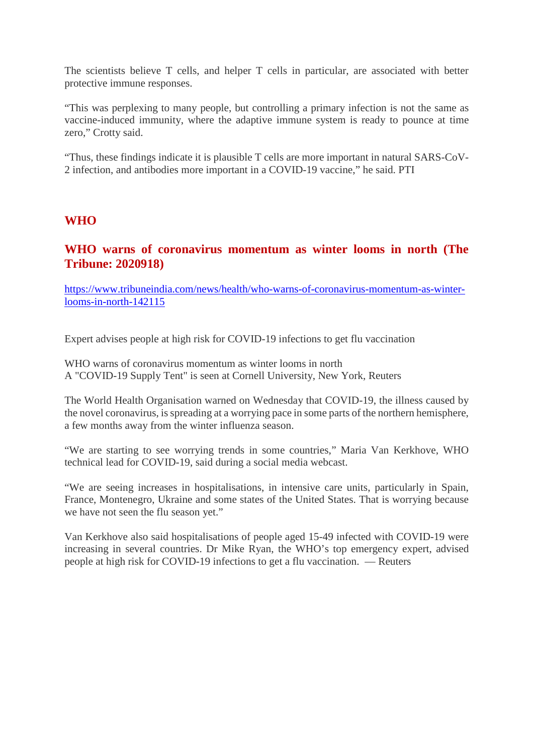The scientists believe T cells, and helper T cells in particular, are associated with better protective immune responses.

"This was perplexing to many people, but controlling a primary infection is not the same as vaccine-induced immunity, where the adaptive immune system is ready to pounce at time zero," Crotty said.

"Thus, these findings indicate it is plausible T cells are more important in natural SARS-CoV-2 infection, and antibodies more important in a COVID-19 vaccine," he said. PTI

#### **WHO**

#### **WHO warns of coronavirus momentum as winter looms in north (The Tribune: 2020918)**

https://www.tribuneindia.com/news/health/who-warns-of-coronavirus-momentum-as-winterlooms-in-north-142115

Expert advises people at high risk for COVID-19 infections to get flu vaccination

WHO warns of coronavirus momentum as winter looms in north A "COVID-19 Supply Tent" is seen at Cornell University, New York, Reuters

The World Health Organisation warned on Wednesday that COVID-19, the illness caused by the novel coronavirus, is spreading at a worrying pace in some parts of the northern hemisphere, a few months away from the winter influenza season.

"We are starting to see worrying trends in some countries," Maria Van Kerkhove, WHO technical lead for COVID-19, said during a social media webcast.

"We are seeing increases in hospitalisations, in intensive care units, particularly in Spain, France, Montenegro, Ukraine and some states of the United States. That is worrying because we have not seen the flu season yet."

Van Kerkhove also said hospitalisations of people aged 15-49 infected with COVID-19 were increasing in several countries. Dr Mike Ryan, the WHO's top emergency expert, advised people at high risk for COVID-19 infections to get a flu vaccination. — Reuters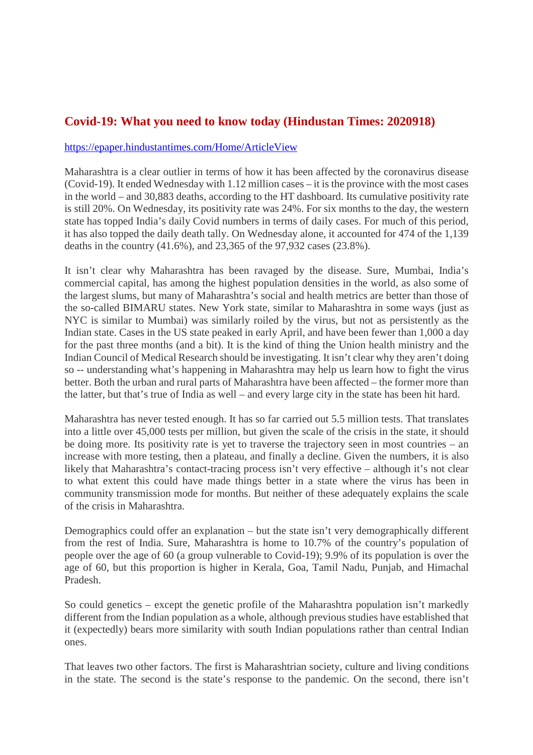# **Covid-19: What you need to know today (Hindustan Times: 2020918)**

#### https://epaper.hindustantimes.com/Home/ArticleView

Maharashtra is a clear outlier in terms of how it has been affected by the coronavirus disease (Covid-19). It ended Wednesday with 1.12 million cases – it is the province with the most cases in the world – and 30,883 deaths, according to the HT dashboard. Its cumulative positivity rate is still 20%. On Wednesday, its positivity rate was 24%. For six months to the day, the western state has topped India's daily Covid numbers in terms of daily cases. For much of this period, it has also topped the daily death tally. On Wednesday alone, it accounted for 474 of the 1,139 deaths in the country (41.6%), and 23,365 of the 97,932 cases (23.8%).

It isn't clear why Maharashtra has been ravaged by the disease. Sure, Mumbai, India's commercial capital, has among the highest population densities in the world, as also some of the largest slums, but many of Maharashtra's social and health metrics are better than those of the so-called BIMARU states. New York state, similar to Maharashtra in some ways (just as NYC is similar to Mumbai) was similarly roiled by the virus, but not as persistently as the Indian state. Cases in the US state peaked in early April, and have been fewer than 1,000 a day for the past three months (and a bit). It is the kind of thing the Union health ministry and the Indian Council of Medical Research should be investigating. It isn't clear why they aren't doing so -- understanding what's happening in Maharashtra may help us learn how to fight the virus better. Both the urban and rural parts of Maharashtra have been affected – the former more than the latter, but that's true of India as well – and every large city in the state has been hit hard.

Maharashtra has never tested enough. It has so far carried out 5.5 million tests. That translates into a little over 45,000 tests per million, but given the scale of the crisis in the state, it should be doing more. Its positivity rate is yet to traverse the trajectory seen in most countries – an increase with more testing, then a plateau, and finally a decline. Given the numbers, it is also likely that Maharashtra's contact-tracing process isn't very effective – although it's not clear to what extent this could have made things better in a state where the virus has been in community transmission mode for months. But neither of these adequately explains the scale of the crisis in Maharashtra.

Demographics could offer an explanation – but the state isn't very demographically different from the rest of India. Sure, Maharashtra is home to 10.7% of the country's population of people over the age of 60 (a group vulnerable to Covid-19); 9.9% of its population is over the age of 60, but this proportion is higher in Kerala, Goa, Tamil Nadu, Punjab, and Himachal Pradesh.

So could genetics – except the genetic profile of the Maharashtra population isn't markedly different from the Indian population as a whole, although previous studies have established that it (expectedly) bears more similarity with south Indian populations rather than central Indian ones.

That leaves two other factors. The first is Maharashtrian society, culture and living conditions in the state. The second is the state's response to the pandemic. On the second, there isn't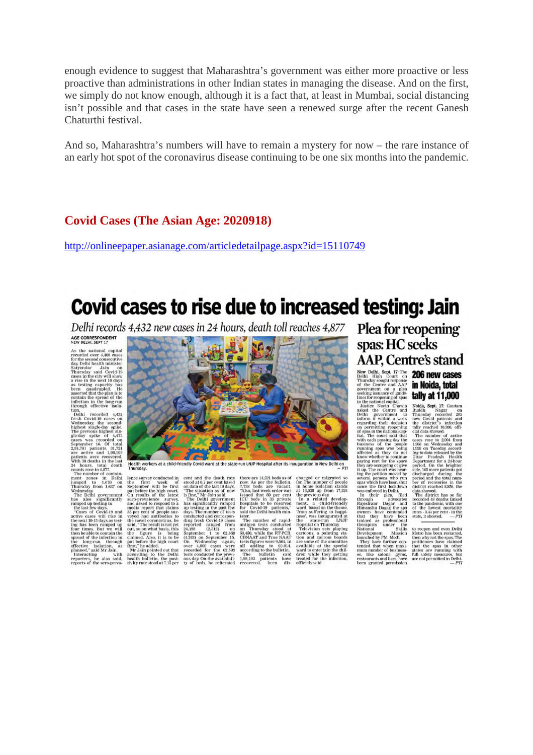enough evidence to suggest that Maharashtra's government was either more proactive or less proactive than administrations in other Indian states in managing the disease. And on the first, we simply do not know enough, although it is a fact that, at least in Mumbai, social distancing isn't possible and that cases in the state have seen a renewed surge after the recent Ganesh Chaturthi festival.

And so, Maharashtra's numbers will have to remain a mystery for now – the rare instance of an early hot spot of the coronavirus disease continuing to be one six months into the pandemic.

#### **Covid Cases (The Asian Age: 2020918)**

http://onlineepaper.asianage.com/articledetailpage.aspx?id=15110749

# Covid cases to rise due to increased testing: Jain

Delhi records 4,432 new cases in 24 hours, death toll reaches 4,877

AGE CORRESPONDENT NEW DELHI, SEPT 17<br>
AS the national capital<br>
AS the national capital<br>
decorded over 4,400 cases<br>
for the second consecutive<br>
dex Delhi headin minister<br>
Thursday said Covid-19<br>
chases in the risk 10 days<br>
as testing capacit

through effective Isolation, the second to the<br>line Technic tool. Delhi recorded  $\sim432$  are<br>second respectively well associated in the previous highest simple and the<br>phenomenon of the previous independent of the second



Health workers at a child-friendly Covid ward at the state-run LNJP Hospital after its inauguration in New Delhi on  $-PTI$ 

counts rese to 4.877. Thursday.<br>The number of contain-<br>mersion of the state of stood at 0.79 cm Delhi lenes survey conducted in cent and the death rate<br>jumped to 1.670 on the first week of stood at 0.7 per cent based<br>impe

cent and the death rate<br>stood at 0.7 per cent based<br>on data of the last 10 days.<br>The situation as of now<br>The situation as of now<br>The Delhi government<br>nas significantly ramped<br>the significantly ramped<br>to the significantly

there are 14,521 beds as of now As per the builetin,<br> $7/38$  beds are creasant<br>in the same of the speed and the same of the same of the same<br>ICU beds in a 30 process contract to the sequence of the sequence of<br>the contract

charged or migrated so<br>far. The number of people

charged or migrated so<br>for the fact of excepted for the fan home isolation stands at 18,038 up from 17,324<br>the previous day from 17,324<br>the previous day from 17,324<br>In a related development, a child frictndly<br>ment, a chil

Plea for reopening spas: HC seeks AAP, Centre's stand New Delhi, Sept. 17: The 206 new cases in Noida, total

tally at 11,000

Delhi High Court on a property and AAP Couplem Thursday sought response government on a plead several and AAP government on a plead in the contraction of the line of the line of the line of the several in the mational cap

launched by PM Modi.<br>They have further con-<br>tended that when maxi-<br>mum number of businesses,<br>es, like salons, gyms,<br>restaurants and bars, have<br>have manted normission

**Larry Cat Brackmann**<br>
Noida, Sept. 17: Gautam<br>
Ruddh Magar concede 205<br>
Thursday recorded 205<br>
and the district is infection<br>
that showed.<br>
Can all presence to 2004 from<br>
The number of active<br>
cases rose to 2004 from<br>
1

Uffar Pradesh Health<br>Terry considers the subset of particular side, 168 more induced as<br>side, 168 more patients got side, 168 more patients got generic<br>particular properties in the per of recoveries in the district reache

to reopen and even Delhi<br>Metro has been restarted, then why not the spas. The petitioners have claimed<br>petitioners have claimed that the spas in other states are running with<br>full safety measures, but are not permitted in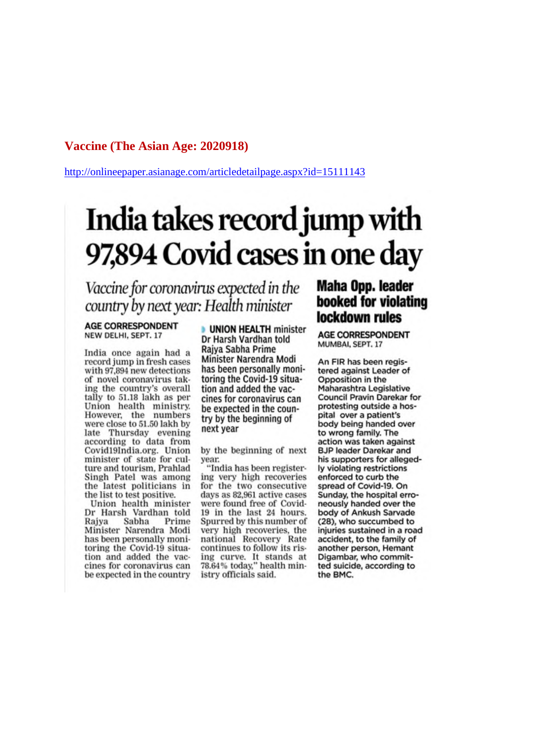#### **Vaccine (The Asian Age: 2020918)**

http://onlineepaper.asianage.com/articledetailpage.aspx?id=15111143

# India takes record jump with 97,894 Covid cases in one day

Vaccine for coronavirus expected in the country by next year: Health minister

#### **AGE CORRESPONDENT** NEW DELHI, SEPT. 17

India once again had a record jump in fresh cases with 97,894 new detections of novel coronavirus taking the country's overall tally to 51.18 lakh as per Union health ministry. However, the numbers were close to 51.50 lakh by late Thursday evening<br>according to data from Covid19India.org. Union minister of state for culture and tourism, Prahlad Singh Patel was among the latest politicians in the list to test positive.

Union health minister Dr Harsh Vardhan told Sabha Prime Raiva Minister Narendra Modi has been personally monitoring the Covid-19 situation and added the vaccines for coronavirus can be expected in the country

**UNION HEALTH minister** Dr Harsh Vardhan told Raiya Sabha Prime Minister Narendra Modi has been personally monitoring the Covid-19 situation and added the vaccines for coronavirus can be expected in the country by the beginning of next year

by the beginning of next year.

"India has been registering very high recoveries for the two consecutive days as 82,961 active cases were found free of Covid-19 in the last 24 hours. Spurred by this number of very high recoveries, the national Recovery Rate continues to follow its rising curve. It stands at 78.64% today," health ministry officials said.

# **Maha Opp. leader** booked for violating lockdown rules

**AGE CORRESPONDENT** MUMBAI, SEPT. 17

An FIR has been registered against Leader of Opposition in the Maharashtra Legislative Council Pravin Darekar for protesting outside a hospital over a patient's body being handed over to wrong family. The action was taken against **BJP leader Darekar and** his supporters for allegedly violating restrictions enforced to curb the spread of Covid-19. On Sunday, the hospital erroneously handed over the body of Ankush Sarvade (28), who succumbed to injuries sustained in a road accident, to the family of another person, Hemant Digambar, who committed suicide, according to the BMC.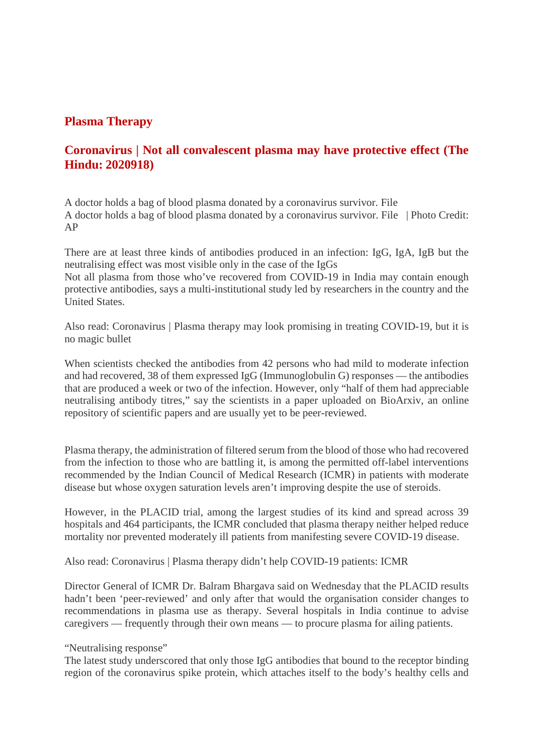#### **Plasma Therapy**

# **Coronavirus | Not all convalescent plasma may have protective effect (The Hindu: 2020918)**

A doctor holds a bag of blood plasma donated by a coronavirus survivor. File A doctor holds a bag of blood plasma donated by a coronavirus survivor. File | Photo Credit: AP

There are at least three kinds of antibodies produced in an infection: IgG, IgA, IgB but the neutralising effect was most visible only in the case of the IgGs Not all plasma from those who've recovered from COVID-19 in India may contain enough protective antibodies, says a multi-institutional study led by researchers in the country and the United States.

Also read: Coronavirus | Plasma therapy may look promising in treating COVID-19, but it is no magic bullet

When scientists checked the antibodies from 42 persons who had mild to moderate infection and had recovered, 38 of them expressed IgG (Immunoglobulin G) responses — the antibodies that are produced a week or two of the infection. However, only "half of them had appreciable neutralising antibody titres," say the scientists in a paper uploaded on BioArxiv, an online repository of scientific papers and are usually yet to be peer-reviewed.

Plasma therapy, the administration of filtered serum from the blood of those who had recovered from the infection to those who are battling it, is among the permitted off-label interventions recommended by the Indian Council of Medical Research (ICMR) in patients with moderate disease but whose oxygen saturation levels aren't improving despite the use of steroids.

However, in the PLACID trial, among the largest studies of its kind and spread across 39 hospitals and 464 participants, the ICMR concluded that plasma therapy neither helped reduce mortality nor prevented moderately ill patients from manifesting severe COVID-19 disease.

Also read: Coronavirus | Plasma therapy didn't help COVID-19 patients: ICMR

Director General of ICMR Dr. Balram Bhargava said on Wednesday that the PLACID results hadn't been 'peer-reviewed' and only after that would the organisation consider changes to recommendations in plasma use as therapy. Several hospitals in India continue to advise caregivers — frequently through their own means — to procure plasma for ailing patients.

"Neutralising response"

The latest study underscored that only those IgG antibodies that bound to the receptor binding region of the coronavirus spike protein, which attaches itself to the body's healthy cells and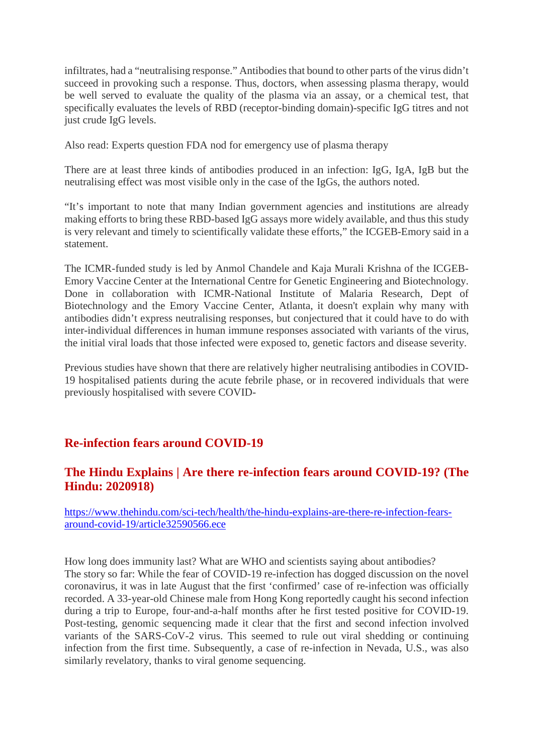infiltrates, had a "neutralising response." Antibodies that bound to other parts of the virus didn't succeed in provoking such a response. Thus, doctors, when assessing plasma therapy, would be well served to evaluate the quality of the plasma via an assay, or a chemical test, that specifically evaluates the levels of RBD (receptor-binding domain)-specific IgG titres and not just crude IgG levels.

Also read: Experts question FDA nod for emergency use of plasma therapy

There are at least three kinds of antibodies produced in an infection: IgG, IgA, IgB but the neutralising effect was most visible only in the case of the IgGs, the authors noted.

"It's important to note that many Indian government agencies and institutions are already making efforts to bring these RBD-based IgG assays more widely available, and thus this study is very relevant and timely to scientifically validate these efforts," the ICGEB-Emory said in a statement.

The ICMR-funded study is led by Anmol Chandele and Kaja Murali Krishna of the ICGEB-Emory Vaccine Center at the International Centre for Genetic Engineering and Biotechnology. Done in collaboration with ICMR-National Institute of Malaria Research, Dept of Biotechnology and the Emory Vaccine Center, Atlanta, it doesn't explain why many with antibodies didn't express neutralising responses, but conjectured that it could have to do with inter-individual differences in human immune responses associated with variants of the virus, the initial viral loads that those infected were exposed to, genetic factors and disease severity.

Previous studies have shown that there are relatively higher neutralising antibodies in COVID-19 hospitalised patients during the acute febrile phase, or in recovered individuals that were previously hospitalised with severe COVID-

# **Re-infection fears around COVID-19**

# **The Hindu Explains | Are there re-infection fears around COVID-19? (The Hindu: 2020918)**

https://www.thehindu.com/sci-tech/health/the-hindu-explains-are-there-re-infection-fearsaround-covid-19/article32590566.ece

How long does immunity last? What are WHO and scientists saying about antibodies? The story so far: While the fear of COVID-19 re-infection has dogged discussion on the novel coronavirus, it was in late August that the first 'confirmed' case of re-infection was officially recorded. A 33-year-old Chinese male from Hong Kong reportedly caught his second infection during a trip to Europe, four-and-a-half months after he first tested positive for COVID-19. Post-testing, genomic sequencing made it clear that the first and second infection involved variants of the SARS-CoV-2 virus. This seemed to rule out viral shedding or continuing infection from the first time. Subsequently, a case of re-infection in Nevada, U.S., was also similarly revelatory, thanks to viral genome sequencing.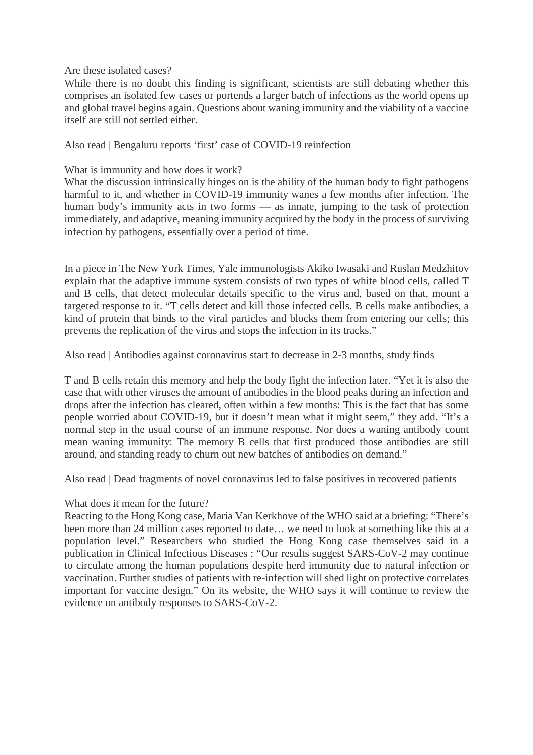Are these isolated cases?

While there is no doubt this finding is significant, scientists are still debating whether this comprises an isolated few cases or portends a larger batch of infections as the world opens up and global travel begins again. Questions about waning immunity and the viability of a vaccine itself are still not settled either.

Also read | Bengaluru reports 'first' case of COVID-19 reinfection

What is immunity and how does it work?

What the discussion intrinsically hinges on is the ability of the human body to fight pathogens harmful to it, and whether in COVID-19 immunity wanes a few months after infection. The human body's immunity acts in two forms — as innate, jumping to the task of protection immediately, and adaptive, meaning immunity acquired by the body in the process of surviving infection by pathogens, essentially over a period of time.

In a piece in The New York Times, Yale immunologists Akiko Iwasaki and Ruslan Medzhitov explain that the adaptive immune system consists of two types of white blood cells, called T and B cells, that detect molecular details specific to the virus and, based on that, mount a targeted response to it. "T cells detect and kill those infected cells. B cells make antibodies, a kind of protein that binds to the viral particles and blocks them from entering our cells; this prevents the replication of the virus and stops the infection in its tracks."

Also read | Antibodies against coronavirus start to decrease in 2-3 months, study finds

T and B cells retain this memory and help the body fight the infection later. "Yet it is also the case that with other viruses the amount of antibodies in the blood peaks during an infection and drops after the infection has cleared, often within a few months: This is the fact that has some people worried about COVID-19, but it doesn't mean what it might seem," they add. "It's a normal step in the usual course of an immune response. Nor does a waning antibody count mean waning immunity: The memory B cells that first produced those antibodies are still around, and standing ready to churn out new batches of antibodies on demand."

Also read | Dead fragments of novel coronavirus led to false positives in recovered patients

What does it mean for the future?

Reacting to the Hong Kong case, Maria Van Kerkhove of the WHO said at a briefing: "There's been more than 24 million cases reported to date… we need to look at something like this at a population level." Researchers who studied the Hong Kong case themselves said in a publication in Clinical Infectious Diseases : "Our results suggest SARS-CoV-2 may continue to circulate among the human populations despite herd immunity due to natural infection or vaccination. Further studies of patients with re-infection will shed light on protective correlates important for vaccine design." On its website, the WHO says it will continue to review the evidence on antibody responses to SARS-CoV-2.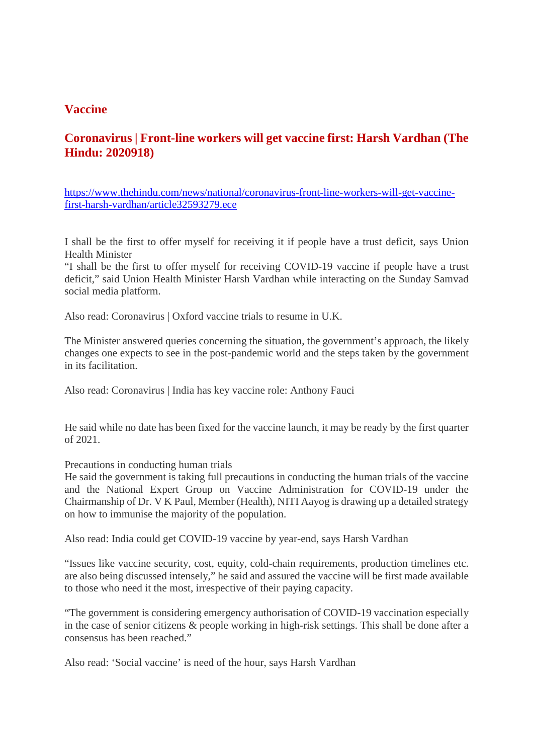#### **Vaccine**

# **Coronavirus | Front-line workers will get vaccine first: Harsh Vardhan (The Hindu: 2020918)**

https://www.thehindu.com/news/national/coronavirus-front-line-workers-will-get-vaccinefirst-harsh-vardhan/article32593279.ece

I shall be the first to offer myself for receiving it if people have a trust deficit, says Union Health Minister

"I shall be the first to offer myself for receiving COVID-19 vaccine if people have a trust deficit," said Union Health Minister Harsh Vardhan while interacting on the Sunday Samvad social media platform.

Also read: Coronavirus | Oxford vaccine trials to resume in U.K.

The Minister answered queries concerning the situation, the government's approach, the likely changes one expects to see in the post-pandemic world and the steps taken by the government in its facilitation.

Also read: Coronavirus | India has key vaccine role: Anthony Fauci

He said while no date has been fixed for the vaccine launch, it may be ready by the first quarter of 2021.

Precautions in conducting human trials

He said the government is taking full precautions in conducting the human trials of the vaccine and the National Expert Group on Vaccine Administration for COVID-19 under the Chairmanship of Dr. V K Paul, Member (Health), NITI Aayog is drawing up a detailed strategy on how to immunise the majority of the population.

Also read: India could get COVID-19 vaccine by year-end, says Harsh Vardhan

"Issues like vaccine security, cost, equity, cold-chain requirements, production timelines etc. are also being discussed intensely," he said and assured the vaccine will be first made available to those who need it the most, irrespective of their paying capacity.

"The government is considering emergency authorisation of COVID-19 vaccination especially in the case of senior citizens & people working in high-risk settings. This shall be done after a consensus has been reached."

Also read: 'Social vaccine' is need of the hour, says Harsh Vardhan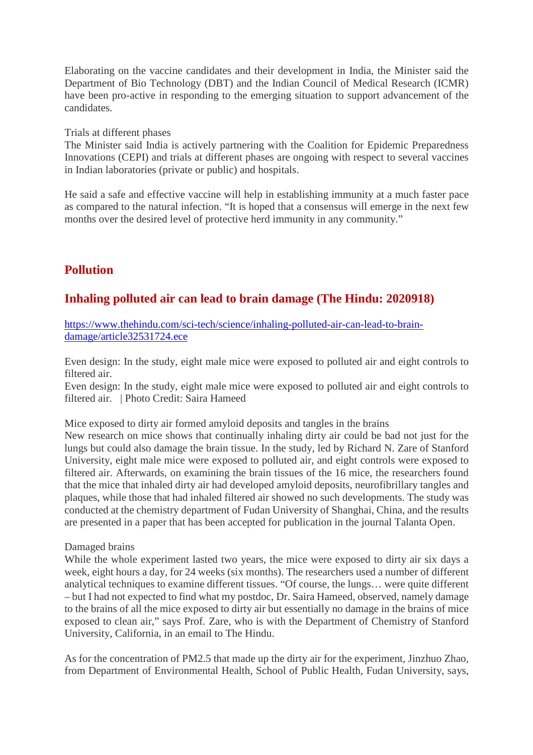Elaborating on the vaccine candidates and their development in India, the Minister said the Department of Bio Technology (DBT) and the Indian Council of Medical Research (ICMR) have been pro-active in responding to the emerging situation to support advancement of the candidates.

Trials at different phases

The Minister said India is actively partnering with the Coalition for Epidemic Preparedness Innovations (CEPI) and trials at different phases are ongoing with respect to several vaccines in Indian laboratories (private or public) and hospitals.

He said a safe and effective vaccine will help in establishing immunity at a much faster pace as compared to the natural infection. "It is hoped that a consensus will emerge in the next few months over the desired level of protective herd immunity in any community."

# **Pollution**

# **Inhaling polluted air can lead to brain damage (The Hindu: 2020918)**

https://www.thehindu.com/sci-tech/science/inhaling-polluted-air-can-lead-to-braindamage/article32531724.ece

Even design: In the study, eight male mice were exposed to polluted air and eight controls to filtered air.

Even design: In the study, eight male mice were exposed to polluted air and eight controls to filtered air. | Photo Credit: Saira Hameed

Mice exposed to dirty air formed amyloid deposits and tangles in the brains

New research on mice shows that continually inhaling dirty air could be bad not just for the lungs but could also damage the brain tissue. In the study, led by Richard N. Zare of Stanford University, eight male mice were exposed to polluted air, and eight controls were exposed to filtered air. Afterwards, on examining the brain tissues of the 16 mice, the researchers found that the mice that inhaled dirty air had developed amyloid deposits, neurofibrillary tangles and plaques, while those that had inhaled filtered air showed no such developments. The study was conducted at the chemistry department of Fudan University of Shanghai, China, and the results are presented in a paper that has been accepted for publication in the journal Talanta Open.

#### Damaged brains

While the whole experiment lasted two years, the mice were exposed to dirty air six days a week, eight hours a day, for 24 weeks (six months). The researchers used a number of different analytical techniques to examine different tissues. "Of course, the lungs… were quite different – but I had not expected to find what my postdoc, Dr. Saira Hameed, observed, namely damage to the brains of all the mice exposed to dirty air but essentially no damage in the brains of mice exposed to clean air," says Prof. Zare, who is with the Department of Chemistry of Stanford University, California, in an email to The Hindu.

As for the concentration of PM2.5 that made up the dirty air for the experiment, Jinzhuo Zhao, from Department of Environmental Health, School of Public Health, Fudan University, says,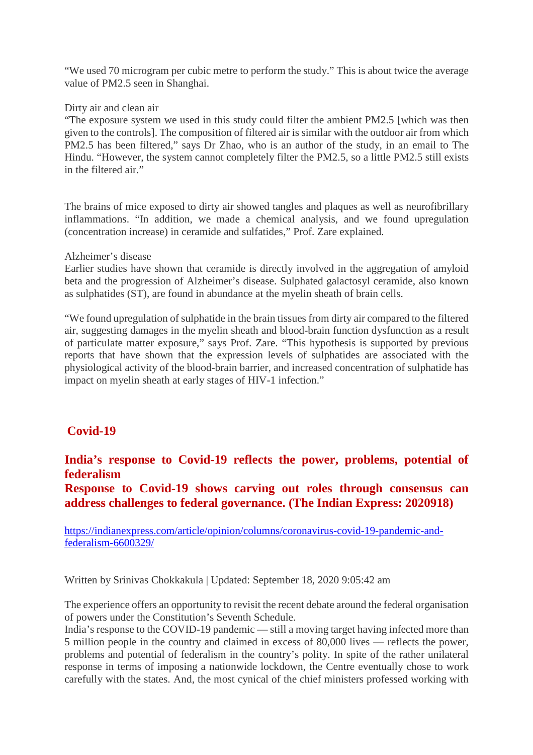"We used 70 microgram per cubic metre to perform the study." This is about twice the average value of PM2.5 seen in Shanghai.

#### Dirty air and clean air

"The exposure system we used in this study could filter the ambient PM2.5 [which was then given to the controls]. The composition of filtered air is similar with the outdoor air from which PM2.5 has been filtered," says Dr Zhao, who is an author of the study, in an email to The Hindu. "However, the system cannot completely filter the PM2.5, so a little PM2.5 still exists in the filtered air."

The brains of mice exposed to dirty air showed tangles and plaques as well as neurofibrillary inflammations. "In addition, we made a chemical analysis, and we found upregulation (concentration increase) in ceramide and sulfatides," Prof. Zare explained.

#### Alzheimer's disease

Earlier studies have shown that ceramide is directly involved in the aggregation of amyloid beta and the progression of Alzheimer's disease. Sulphated galactosyl ceramide, also known as sulphatides (ST), are found in abundance at the myelin sheath of brain cells.

"We found upregulation of sulphatide in the brain tissues from dirty air compared to the filtered air, suggesting damages in the myelin sheath and blood-brain function dysfunction as a result of particulate matter exposure," says Prof. Zare. "This hypothesis is supported by previous reports that have shown that the expression levels of sulphatides are associated with the physiological activity of the blood-brain barrier, and increased concentration of sulphatide has impact on myelin sheath at early stages of HIV-1 infection."

#### **Covid-19**

#### **India's response to Covid-19 reflects the power, problems, potential of federalism**

**Response to Covid-19 shows carving out roles through consensus can address challenges to federal governance. (The Indian Express: 2020918)**

https://indianexpress.com/article/opinion/columns/coronavirus-covid-19-pandemic-andfederalism-6600329/

Written by Srinivas Chokkakula | Updated: September 18, 2020 9:05:42 am

The experience offers an opportunity to revisit the recent debate around the federal organisation of powers under the Constitution's Seventh Schedule.

India's response to the COVID-19 pandemic — still a moving target having infected more than 5 million people in the country and claimed in excess of 80,000 lives — reflects the power, problems and potential of federalism in the country's polity. In spite of the rather unilateral response in terms of imposing a nationwide lockdown, the Centre eventually chose to work carefully with the states. And, the most cynical of the chief ministers professed working with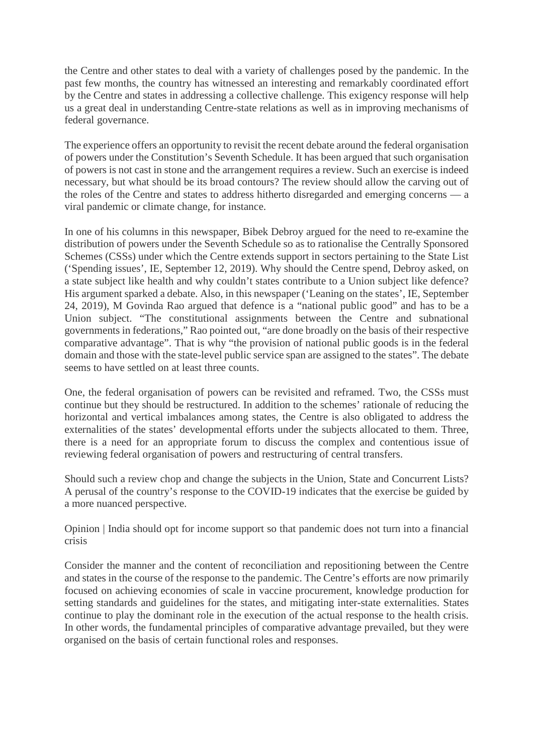the Centre and other states to deal with a variety of challenges posed by the pandemic. In the past few months, the country has witnessed an interesting and remarkably coordinated effort by the Centre and states in addressing a collective challenge. This exigency response will help us a great deal in understanding Centre-state relations as well as in improving mechanisms of federal governance.

The experience offers an opportunity to revisit the recent debate around the federal organisation of powers under the Constitution's Seventh Schedule. It has been argued that such organisation of powers is not cast in stone and the arrangement requires a review. Such an exercise is indeed necessary, but what should be its broad contours? The review should allow the carving out of the roles of the Centre and states to address hitherto disregarded and emerging concerns — a viral pandemic or climate change, for instance.

In one of his columns in this newspaper, Bibek Debroy argued for the need to re-examine the distribution of powers under the Seventh Schedule so as to rationalise the Centrally Sponsored Schemes (CSSs) under which the Centre extends support in sectors pertaining to the State List ('Spending issues', IE, September 12, 2019). Why should the Centre spend, Debroy asked, on a state subject like health and why couldn't states contribute to a Union subject like defence? His argument sparked a debate. Also, in this newspaper ('Leaning on the states', IE, September 24, 2019), M Govinda Rao argued that defence is a "national public good" and has to be a Union subject. "The constitutional assignments between the Centre and subnational governments in federations," Rao pointed out, "are done broadly on the basis of their respective comparative advantage". That is why "the provision of national public goods is in the federal domain and those with the state-level public service span are assigned to the states". The debate seems to have settled on at least three counts.

One, the federal organisation of powers can be revisited and reframed. Two, the CSSs must continue but they should be restructured. In addition to the schemes' rationale of reducing the horizontal and vertical imbalances among states, the Centre is also obligated to address the externalities of the states' developmental efforts under the subjects allocated to them. Three, there is a need for an appropriate forum to discuss the complex and contentious issue of reviewing federal organisation of powers and restructuring of central transfers.

Should such a review chop and change the subjects in the Union, State and Concurrent Lists? A perusal of the country's response to the COVID-19 indicates that the exercise be guided by a more nuanced perspective.

Opinion | India should opt for income support so that pandemic does not turn into a financial crisis

Consider the manner and the content of reconciliation and repositioning between the Centre and states in the course of the response to the pandemic. The Centre's efforts are now primarily focused on achieving economies of scale in vaccine procurement, knowledge production for setting standards and guidelines for the states, and mitigating inter-state externalities. States continue to play the dominant role in the execution of the actual response to the health crisis. In other words, the fundamental principles of comparative advantage prevailed, but they were organised on the basis of certain functional roles and responses.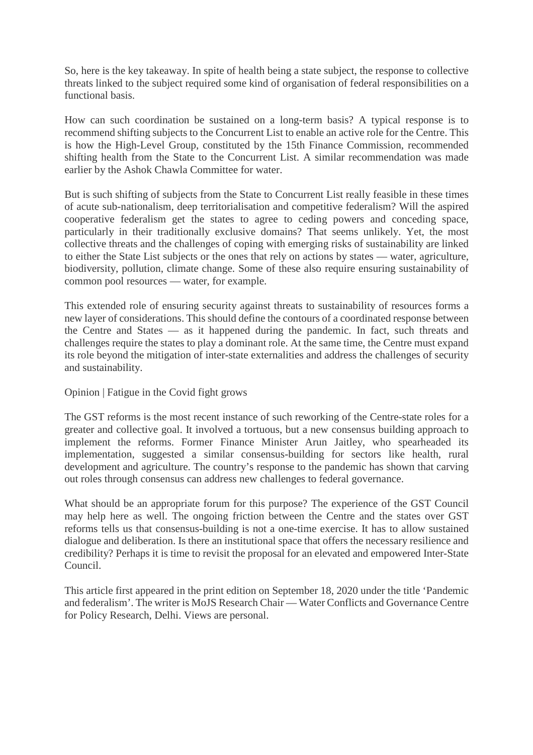So, here is the key takeaway. In spite of health being a state subject, the response to collective threats linked to the subject required some kind of organisation of federal responsibilities on a functional basis.

How can such coordination be sustained on a long-term basis? A typical response is to recommend shifting subjects to the Concurrent List to enable an active role for the Centre. This is how the High-Level Group, constituted by the 15th Finance Commission, recommended shifting health from the State to the Concurrent List. A similar recommendation was made earlier by the Ashok Chawla Committee for water.

But is such shifting of subjects from the State to Concurrent List really feasible in these times of acute sub-nationalism, deep territorialisation and competitive federalism? Will the aspired cooperative federalism get the states to agree to ceding powers and conceding space, particularly in their traditionally exclusive domains? That seems unlikely. Yet, the most collective threats and the challenges of coping with emerging risks of sustainability are linked to either the State List subjects or the ones that rely on actions by states — water, agriculture, biodiversity, pollution, climate change. Some of these also require ensuring sustainability of common pool resources — water, for example.

This extended role of ensuring security against threats to sustainability of resources forms a new layer of considerations. This should define the contours of a coordinated response between the Centre and States — as it happened during the pandemic. In fact, such threats and challenges require the states to play a dominant role. At the same time, the Centre must expand its role beyond the mitigation of inter-state externalities and address the challenges of security and sustainability.

Opinion | Fatigue in the Covid fight grows

The GST reforms is the most recent instance of such reworking of the Centre-state roles for a greater and collective goal. It involved a tortuous, but a new consensus building approach to implement the reforms. Former Finance Minister Arun Jaitley, who spearheaded its implementation, suggested a similar consensus-building for sectors like health, rural development and agriculture. The country's response to the pandemic has shown that carving out roles through consensus can address new challenges to federal governance.

What should be an appropriate forum for this purpose? The experience of the GST Council may help here as well. The ongoing friction between the Centre and the states over GST reforms tells us that consensus-building is not a one-time exercise. It has to allow sustained dialogue and deliberation. Is there an institutional space that offers the necessary resilience and credibility? Perhaps it is time to revisit the proposal for an elevated and empowered Inter-State Council.

This article first appeared in the print edition on September 18, 2020 under the title 'Pandemic and federalism'. The writer is MoJS Research Chair — Water Conflicts and Governance Centre for Policy Research, Delhi. Views are personal.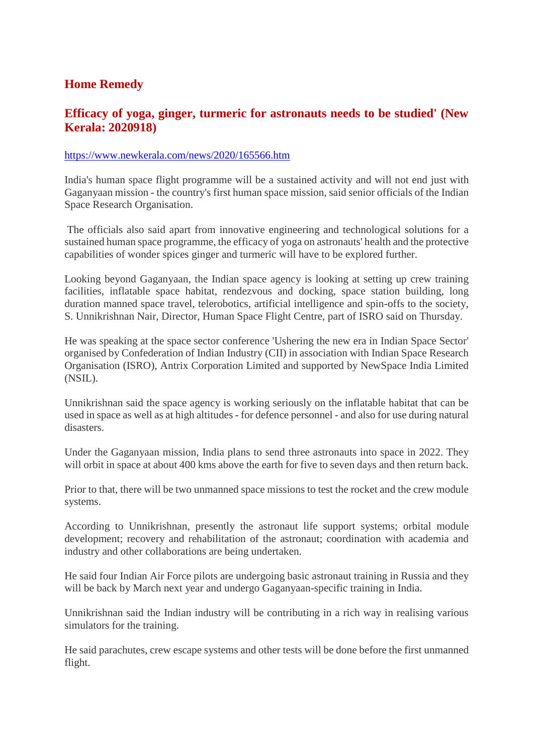# **Home Remedy**

### **Efficacy of yoga, ginger, turmeric for astronauts needs to be studied' (New Kerala: 2020918)**

#### https://www.newkerala.com/news/2020/165566.htm

India's human space flight programme will be a sustained activity and will not end just with Gaganyaan mission - the country's first human space mission, said senior officials of the Indian Space Research Organisation.

The officials also said apart from innovative engineering and technological solutions for a sustained human space programme, the efficacy of yoga on astronauts' health and the protective capabilities of wonder spices ginger and turmeric will have to be explored further.

Looking beyond Gaganyaan, the Indian space agency is looking at setting up crew training facilities, inflatable space habitat, rendezvous and docking, space station building, long duration manned space travel, telerobotics, artificial intelligence and spin-offs to the society, S. Unnikrishnan Nair, Director, Human Space Flight Centre, part of ISRO said on Thursday.

He was speaking at the space sector conference 'Ushering the new era in Indian Space Sector' organised by Confederation of Indian Industry (CII) in association with Indian Space Research Organisation (ISRO), Antrix Corporation Limited and supported by NewSpace India Limited (NSIL).

Unnikrishnan said the space agency is working seriously on the inflatable habitat that can be used in space as well as at high altitudes - for defence personnel - and also for use during natural disasters.

Under the Gaganyaan mission, India plans to send three astronauts into space in 2022. They will orbit in space at about 400 kms above the earth for five to seven days and then return back.

Prior to that, there will be two unmanned space missions to test the rocket and the crew module systems.

According to Unnikrishnan, presently the astronaut life support systems; orbital module development; recovery and rehabilitation of the astronaut; coordination with academia and industry and other collaborations are being undertaken.

He said four Indian Air Force pilots are undergoing basic astronaut training in Russia and they will be back by March next year and undergo Gaganyaan-specific training in India.

Unnikrishnan said the Indian industry will be contributing in a rich way in realising various simulators for the training.

He said parachutes, crew escape systems and other tests will be done before the first unmanned flight.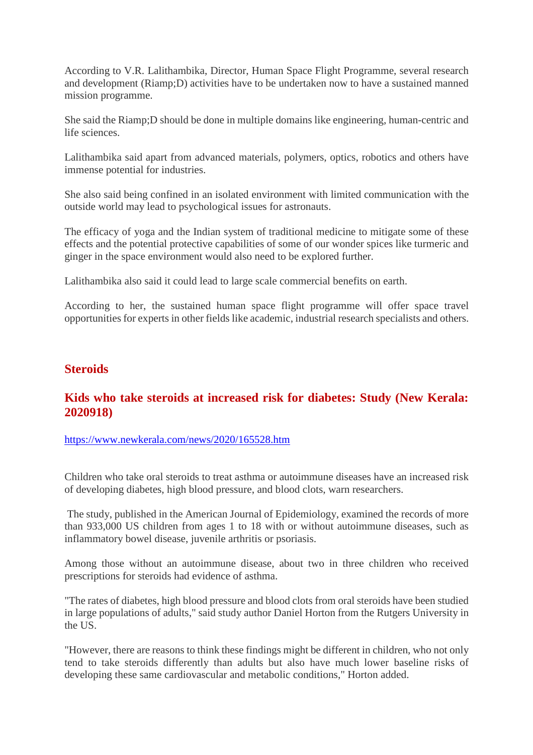According to V.R. Lalithambika, Director, Human Space Flight Programme, several research and development (Riamp;D) activities have to be undertaken now to have a sustained manned mission programme.

She said the Riamp;D should be done in multiple domains like engineering, human-centric and life sciences.

Lalithambika said apart from advanced materials, polymers, optics, robotics and others have immense potential for industries.

She also said being confined in an isolated environment with limited communication with the outside world may lead to psychological issues for astronauts.

The efficacy of yoga and the Indian system of traditional medicine to mitigate some of these effects and the potential protective capabilities of some of our wonder spices like turmeric and ginger in the space environment would also need to be explored further.

Lalithambika also said it could lead to large scale commercial benefits on earth.

According to her, the sustained human space flight programme will offer space travel opportunities for experts in other fields like academic, industrial research specialists and others.

#### **Steroids**

#### **Kids who take steroids at increased risk for diabetes: Study (New Kerala: 2020918)**

https://www.newkerala.com/news/2020/165528.htm

Children who take oral steroids to treat asthma or autoimmune diseases have an increased risk of developing diabetes, high blood pressure, and blood clots, warn researchers.

The study, published in the American Journal of Epidemiology, examined the records of more than 933,000 US children from ages 1 to 18 with or without autoimmune diseases, such as inflammatory bowel disease, juvenile arthritis or psoriasis.

Among those without an autoimmune disease, about two in three children who received prescriptions for steroids had evidence of asthma.

"The rates of diabetes, high blood pressure and blood clots from oral steroids have been studied in large populations of adults," said study author Daniel Horton from the Rutgers University in the US.

"However, there are reasons to think these findings might be different in children, who not only tend to take steroids differently than adults but also have much lower baseline risks of developing these same cardiovascular and metabolic conditions," Horton added.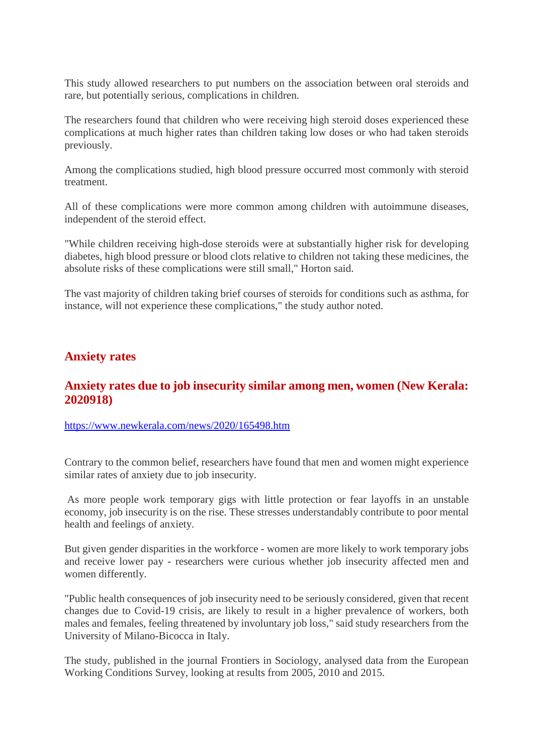This study allowed researchers to put numbers on the association between oral steroids and rare, but potentially serious, complications in children.

The researchers found that children who were receiving high steroid doses experienced these complications at much higher rates than children taking low doses or who had taken steroids previously.

Among the complications studied, high blood pressure occurred most commonly with steroid treatment.

All of these complications were more common among children with autoimmune diseases, independent of the steroid effect.

"While children receiving high-dose steroids were at substantially higher risk for developing diabetes, high blood pressure or blood clots relative to children not taking these medicines, the absolute risks of these complications were still small," Horton said.

The vast majority of children taking brief courses of steroids for conditions such as asthma, for instance, will not experience these complications," the study author noted.

#### **Anxiety rates**

#### **Anxiety rates due to job insecurity similar among men, women (New Kerala: 2020918)**

https://www.newkerala.com/news/2020/165498.htm

Contrary to the common belief, researchers have found that men and women might experience similar rates of anxiety due to job insecurity.

As more people work temporary gigs with little protection or fear layoffs in an unstable economy, job insecurity is on the rise. These stresses understandably contribute to poor mental health and feelings of anxiety.

But given gender disparities in the workforce - women are more likely to work temporary jobs and receive lower pay - researchers were curious whether job insecurity affected men and women differently.

"Public health consequences of job insecurity need to be seriously considered, given that recent changes due to Covid-19 crisis, are likely to result in a higher prevalence of workers, both males and females, feeling threatened by involuntary job loss," said study researchers from the University of Milano-Bicocca in Italy.

The study, published in the journal Frontiers in Sociology, analysed data from the European Working Conditions Survey, looking at results from 2005, 2010 and 2015.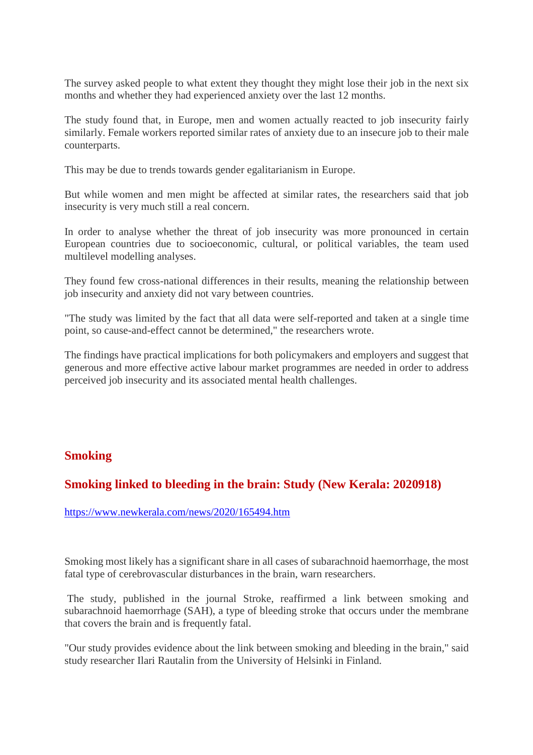The survey asked people to what extent they thought they might lose their job in the next six months and whether they had experienced anxiety over the last 12 months.

The study found that, in Europe, men and women actually reacted to job insecurity fairly similarly. Female workers reported similar rates of anxiety due to an insecure job to their male counterparts.

This may be due to trends towards gender egalitarianism in Europe.

But while women and men might be affected at similar rates, the researchers said that job insecurity is very much still a real concern.

In order to analyse whether the threat of job insecurity was more pronounced in certain European countries due to socioeconomic, cultural, or political variables, the team used multilevel modelling analyses.

They found few cross-national differences in their results, meaning the relationship between job insecurity and anxiety did not vary between countries.

"The study was limited by the fact that all data were self-reported and taken at a single time point, so cause-and-effect cannot be determined," the researchers wrote.

The findings have practical implications for both policymakers and employers and suggest that generous and more effective active labour market programmes are needed in order to address perceived job insecurity and its associated mental health challenges.

#### **Smoking**

# **Smoking linked to bleeding in the brain: Study (New Kerala: 2020918)**

https://www.newkerala.com/news/2020/165494.htm

Smoking most likely has a significant share in all cases of subarachnoid haemorrhage, the most fatal type of cerebrovascular disturbances in the brain, warn researchers.

The study, published in the journal Stroke, reaffirmed a link between smoking and subarachnoid haemorrhage (SAH), a type of bleeding stroke that occurs under the membrane that covers the brain and is frequently fatal.

"Our study provides evidence about the link between smoking and bleeding in the brain," said study researcher Ilari Rautalin from the University of Helsinki in Finland.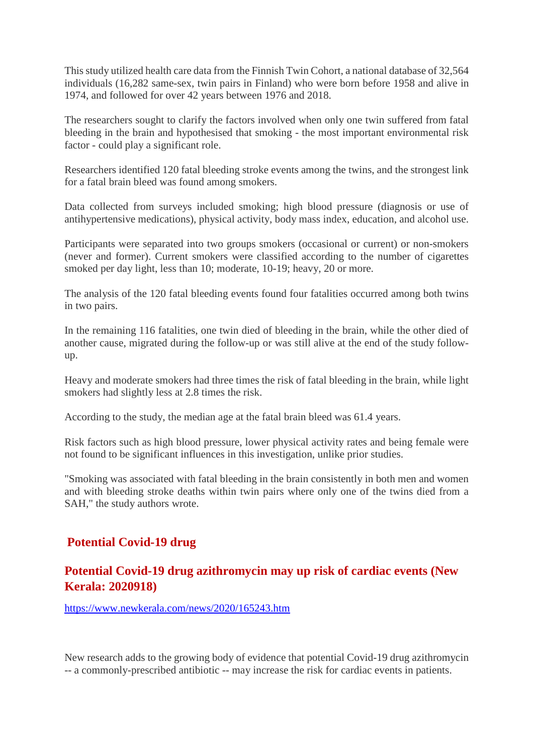This study utilized health care data from the Finnish Twin Cohort, a national database of 32,564 individuals (16,282 same-sex, twin pairs in Finland) who were born before 1958 and alive in 1974, and followed for over 42 years between 1976 and 2018.

The researchers sought to clarify the factors involved when only one twin suffered from fatal bleeding in the brain and hypothesised that smoking - the most important environmental risk factor - could play a significant role.

Researchers identified 120 fatal bleeding stroke events among the twins, and the strongest link for a fatal brain bleed was found among smokers.

Data collected from surveys included smoking; high blood pressure (diagnosis or use of antihypertensive medications), physical activity, body mass index, education, and alcohol use.

Participants were separated into two groups smokers (occasional or current) or non-smokers (never and former). Current smokers were classified according to the number of cigarettes smoked per day light, less than 10; moderate, 10-19; heavy, 20 or more.

The analysis of the 120 fatal bleeding events found four fatalities occurred among both twins in two pairs.

In the remaining 116 fatalities, one twin died of bleeding in the brain, while the other died of another cause, migrated during the follow-up or was still alive at the end of the study followup.

Heavy and moderate smokers had three times the risk of fatal bleeding in the brain, while light smokers had slightly less at 2.8 times the risk.

According to the study, the median age at the fatal brain bleed was 61.4 years.

Risk factors such as high blood pressure, lower physical activity rates and being female were not found to be significant influences in this investigation, unlike prior studies.

"Smoking was associated with fatal bleeding in the brain consistently in both men and women and with bleeding stroke deaths within twin pairs where only one of the twins died from a SAH," the study authors wrote.

# **Potential Covid-19 drug**

# **Potential Covid-19 drug azithromycin may up risk of cardiac events (New Kerala: 2020918)**

https://www.newkerala.com/news/2020/165243.htm

New research adds to the growing body of evidence that potential Covid-19 drug azithromycin -- a commonly-prescribed antibiotic -- may increase the risk for cardiac events in patients.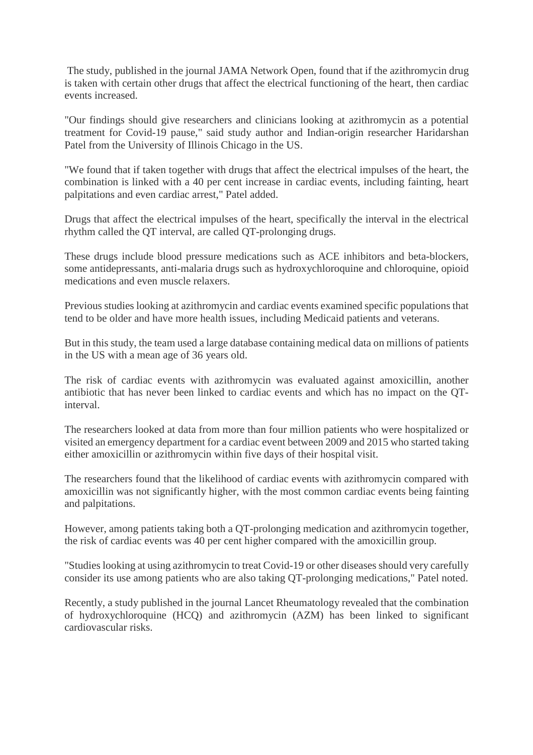The study, published in the journal JAMA Network Open, found that if the azithromycin drug is taken with certain other drugs that affect the electrical functioning of the heart, then cardiac events increased.

"Our findings should give researchers and clinicians looking at azithromycin as a potential treatment for Covid-19 pause," said study author and Indian-origin researcher Haridarshan Patel from the University of Illinois Chicago in the US.

"We found that if taken together with drugs that affect the electrical impulses of the heart, the combination is linked with a 40 per cent increase in cardiac events, including fainting, heart palpitations and even cardiac arrest," Patel added.

Drugs that affect the electrical impulses of the heart, specifically the interval in the electrical rhythm called the QT interval, are called QT-prolonging drugs.

These drugs include blood pressure medications such as ACE inhibitors and beta-blockers, some antidepressants, anti-malaria drugs such as hydroxychloroquine and chloroquine, opioid medications and even muscle relaxers.

Previous studies looking at azithromycin and cardiac events examined specific populations that tend to be older and have more health issues, including Medicaid patients and veterans.

But in this study, the team used a large database containing medical data on millions of patients in the US with a mean age of 36 years old.

The risk of cardiac events with azithromycin was evaluated against amoxicillin, another antibiotic that has never been linked to cardiac events and which has no impact on the QTinterval.

The researchers looked at data from more than four million patients who were hospitalized or visited an emergency department for a cardiac event between 2009 and 2015 who started taking either amoxicillin or azithromycin within five days of their hospital visit.

The researchers found that the likelihood of cardiac events with azithromycin compared with amoxicillin was not significantly higher, with the most common cardiac events being fainting and palpitations.

However, among patients taking both a QT-prolonging medication and azithromycin together, the risk of cardiac events was 40 per cent higher compared with the amoxicillin group.

"Studies looking at using azithromycin to treat Covid-19 or other diseases should very carefully consider its use among patients who are also taking QT-prolonging medications," Patel noted.

Recently, a study published in the journal Lancet Rheumatology revealed that the combination of hydroxychloroquine (HCQ) and azithromycin (AZM) has been linked to significant cardiovascular risks.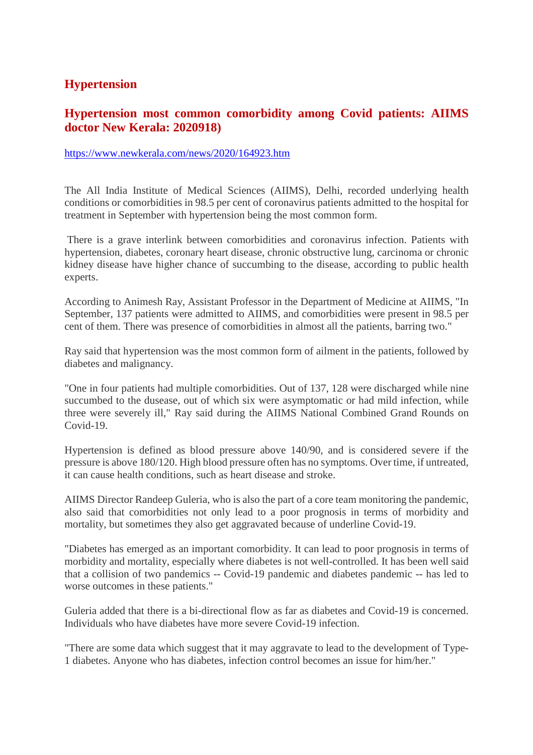# **Hypertension**

### **Hypertension most common comorbidity among Covid patients: AIIMS doctor New Kerala: 2020918)**

#### https://www.newkerala.com/news/2020/164923.htm

The All India Institute of Medical Sciences (AIIMS), Delhi, recorded underlying health conditions or comorbidities in 98.5 per cent of coronavirus patients admitted to the hospital for treatment in September with hypertension being the most common form.

There is a grave interlink between comorbidities and coronavirus infection. Patients with hypertension, diabetes, coronary heart disease, chronic obstructive lung, carcinoma or chronic kidney disease have higher chance of succumbing to the disease, according to public health experts.

According to Animesh Ray, Assistant Professor in the Department of Medicine at AIIMS, "In September, 137 patients were admitted to AIIMS, and comorbidities were present in 98.5 per cent of them. There was presence of comorbidities in almost all the patients, barring two."

Ray said that hypertension was the most common form of ailment in the patients, followed by diabetes and malignancy.

"One in four patients had multiple comorbidities. Out of 137, 128 were discharged while nine succumbed to the dusease, out of which six were asymptomatic or had mild infection, while three were severely ill," Ray said during the AIIMS National Combined Grand Rounds on Covid-19.

Hypertension is defined as blood pressure above 140/90, and is considered severe if the pressure is above 180/120. High blood pressure often has no symptoms. Over time, if untreated, it can cause health conditions, such as heart disease and stroke.

AIIMS Director Randeep Guleria, who is also the part of a core team monitoring the pandemic, also said that comorbidities not only lead to a poor prognosis in terms of morbidity and mortality, but sometimes they also get aggravated because of underline Covid-19.

"Diabetes has emerged as an important comorbidity. It can lead to poor prognosis in terms of morbidity and mortality, especially where diabetes is not well-controlled. It has been well said that a collision of two pandemics -- Covid-19 pandemic and diabetes pandemic -- has led to worse outcomes in these patients."

Guleria added that there is a bi-directional flow as far as diabetes and Covid-19 is concerned. Individuals who have diabetes have more severe Covid-19 infection.

"There are some data which suggest that it may aggravate to lead to the development of Type-1 diabetes. Anyone who has diabetes, infection control becomes an issue for him/her."